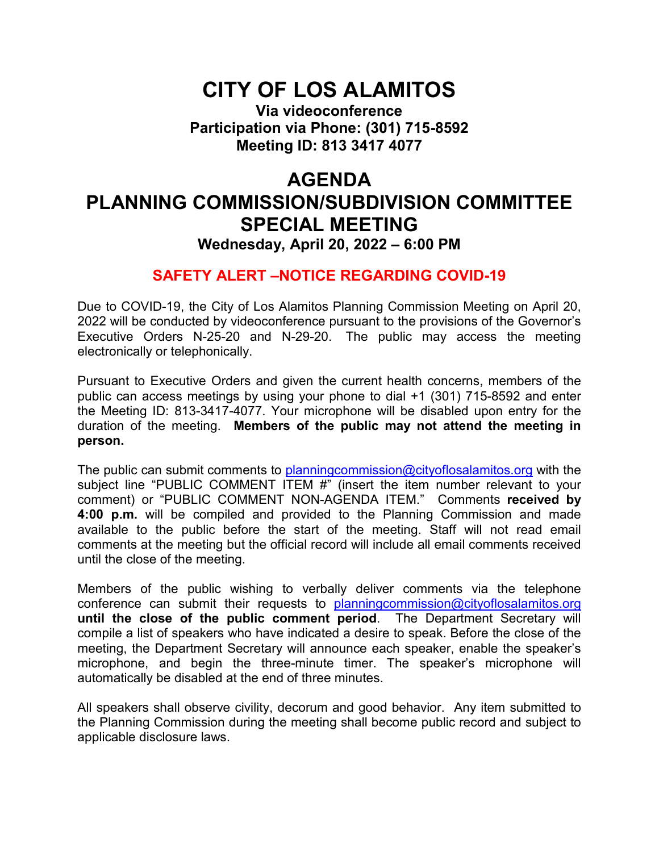## **CITY OF LOS ALAMITOS**

**Via videoconference Participation via Phone: (301) 715-8592 Meeting ID: 813 3417 4077**

## **AGENDA PLANNING COMMISSION/SUBDIVISION COMMITTEE SPECIAL MEETING Wednesday, April 20, 2022 – 6:00 PM**

### **SAFETY ALERT –NOTICE REGARDING COVID-19**

Due to COVID-19, the City of Los Alamitos Planning Commission Meeting on April 20, 2022 will be conducted by videoconference pursuant to the provisions of the Governor's Executive Orders N-25-20 and N-29-20. The public may access the meeting electronically or telephonically.

Pursuant to Executive Orders and given the current health concerns, members of the public can access meetings by using your phone to dial +1 (301) 715-8592 and enter the Meeting ID: 813-3417-4077. Your microphone will be disabled upon entry for the duration of the meeting. **Members of the public may not attend the meeting in person.**

The public can submit comments to planning commission @cityoflosalamitos.org with the subject line "PUBLIC COMMENT ITEM #" (insert the item number relevant to your comment) or "PUBLIC COMMENT NON-AGENDA ITEM." Comments **received by 4:00 p.m.** will be compiled and provided to the Planning Commission and made available to the public before the start of the meeting. Staff will not read email comments at the meeting but the official record will include all email comments received until the close of the meeting.

Members of the public wishing to verbally deliver comments via the telephone conference can submit their requests to planning commission@cityoflosalamitos.org **until the close of the public comment period**. The Department Secretary will compile a list of speakers who have indicated a desire to speak. Before the close of the meeting, the Department Secretary will announce each speaker, enable the speaker's microphone, and begin the three-minute timer. The speaker's microphone will automatically be disabled at the end of three minutes.

All speakers shall observe civility, decorum and good behavior. Any item submitted to the Planning Commission during the meeting shall become public record and subject to applicable disclosure laws.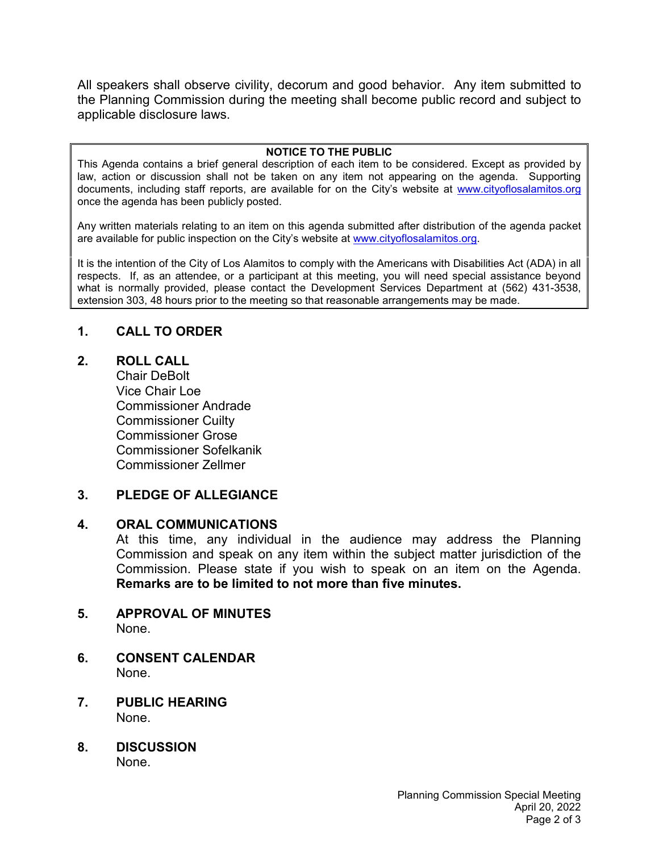All speakers shall observe civility, decorum and good behavior. Any item submitted to the Planning Commission during the meeting shall become public record and subject to applicable disclosure laws.

#### **NOTICE TO THE PUBLIC**

This Agenda contains a brief general description of each item to be considered. Except as provided by law, action or discussion shall not be taken on any item not appearing on the agenda. Supporting documents, including staff reports, are available for on the City's website at [www.cityoflosalamitos.org](http://www.cityoflosalamitos.org/) once the agenda has been publicly posted.

Any written materials relating to an item on this agenda submitted after distribution of the agenda packet are available for public inspection on the City's website at [www.cityoflosalamitos.org.](http://www.cityoflosalamitos.org/)

It is the intention of the City of Los Alamitos to comply with the Americans with Disabilities Act (ADA) in all respects. If, as an attendee, or a participant at this meeting, you will need special assistance beyond what is normally provided, please contact the Development Services Department at (562) 431-3538, extension 303, 48 hours prior to the meeting so that reasonable arrangements may be made.

#### **1. CALL TO ORDER**

#### **2. ROLL CALL**

Chair DeBolt Vice Chair Loe Commissioner Andrade Commissioner Cuilty Commissioner Grose Commissioner Sofelkanik Commissioner Zellmer

#### **3. PLEDGE OF ALLEGIANCE**

#### **4. ORAL COMMUNICATIONS**

At this time, any individual in the audience may address the Planning Commission and speak on any item within the subject matter jurisdiction of the Commission. Please state if you wish to speak on an item on the Agenda. **Remarks are to be limited to not more than five minutes.**

## **5. APPROVAL OF MINUTES**

None.

- **6. CONSENT CALENDAR** None.
- **7. PUBLIC HEARING**  None.
- **8. DISCUSSION** None.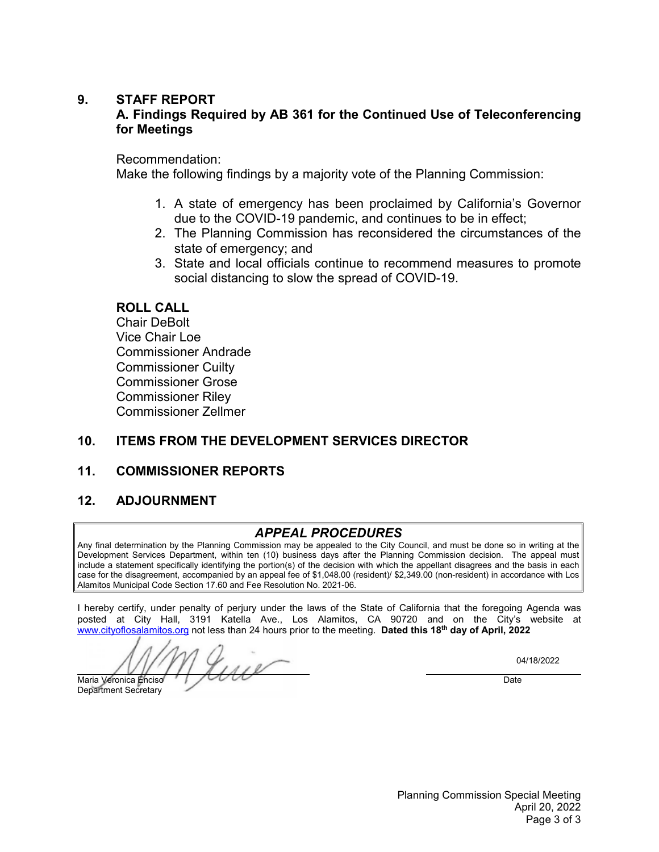#### **9. STAFF REPORT**

#### **A. Findings Required by AB 361 for the Continued Use of Teleconferencing for Meetings**

#### Recommendation:

Make the following findings by a majority vote of the Planning Commission:

- 1. A state of emergency has been proclaimed by California's Governor due to the COVID-19 pandemic, and continues to be in effect;
- 2. The Planning Commission has reconsidered the circumstances of the state of emergency; and
- 3. State and local officials continue to recommend measures to promote social distancing to slow the spread of COVID-19.

#### **ROLL CALL**

Chair DeBolt Vice Chair Loe Commissioner Andrade Commissioner Cuilty Commissioner Grose Commissioner Riley Commissioner Zellmer

#### **10. ITEMS FROM THE DEVELOPMENT SERVICES DIRECTOR**

#### **11. COMMISSIONER REPORTS**

#### **12. ADJOURNMENT**

#### *APPEAL PROCEDURES*

Any final determination by the Planning Commission may be appealed to the City Council, and must be done so in writing at the Development Services Department, within ten (10) business days after the Planning Commission decision. The appeal must include a statement specifically identifying the portion(s) of the decision with which the appellant disagrees and the basis in each case for the disagreement, accompanied by an appeal fee of \$1,048.00 (resident)/ \$2,349.00 (non-resident) in accordance with Los Alamitos Municipal Code Section 17.60 and Fee Resolution No. 2021-06.

I hereby certify, under penalty of perjury under the laws of the State of California that the foregoing Agenda was posted at City Hall, 3191 Katella Ave., Los Alamitos, CA 90720 and on the City's website at [www.cityoflosalamitos.org](http://www.cityoflosalamitos.org/) not less than 24 hours prior to the meeting. **Dated this 18th day of April, 2022**

 $\frac{1}{111}$  $\overline{a}$ Maria Veronica Enciso Date

Department Secretary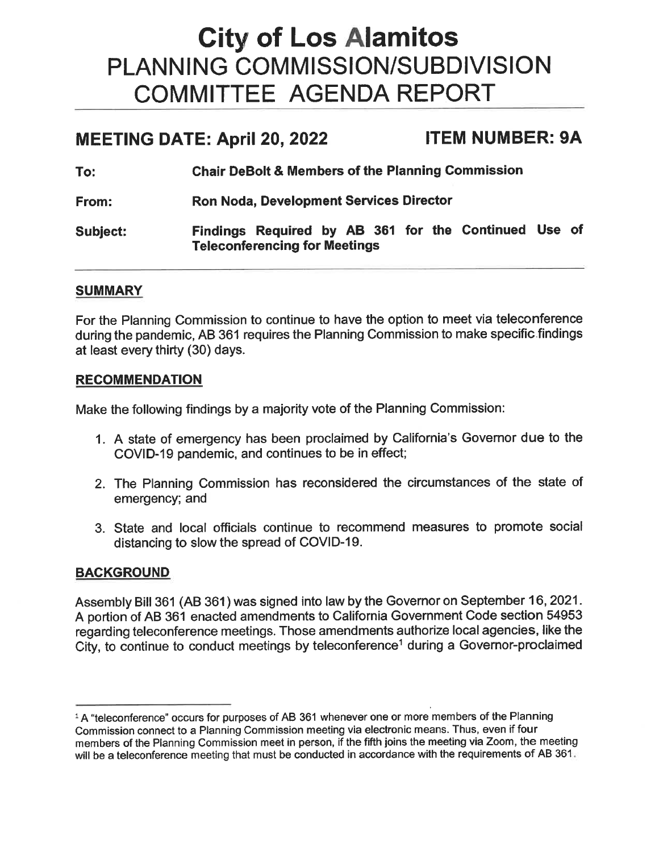# **City of Los Alamitos** PLANNING COMMISSION/SUBDIVISION **COMMITTEE AGENDA REPORT**

#### **MEETING DATE: April 20, 2022 ITEM NUMBER: 9A**

| To:      | <b>Chair DeBolt &amp; Members of the Planning Commission</b>                              |
|----------|-------------------------------------------------------------------------------------------|
| From:    | <b>Ron Noda, Development Services Director</b>                                            |
| Subject: | Findings Required by AB 361 for the Continued Use<br><b>Teleconferencing for Meetings</b> |

**of** 

#### **SUMMARY**

For the Planning Commission to continue to have the option to meet via teleconference during the pandemic, AB 361 requires the Planning Commission to make specific findings at least every thirty (30) days.

#### **RECOMMENDATION**

Make the following findings by a majority vote of the Planning Commission:

- 1. A state of emergency has been proclaimed by California's Governor due to the COVID-19 pandemic, and continues to be in effect;
- 2. The Planning Commission has reconsidered the circumstances of the state of emergency; and
- 3. State and local officials continue to recommend measures to promote social distancing to slow the spread of COVID-19.

#### **BACKGROUND**

Assembly Bill 361 (AB 361) was signed into law by the Governor on September 16, 2021. A portion of AB 361 enacted amendments to California Government Code section 54953 regarding teleconference meetings. Those amendments authorize local agencies, like the City, to continue to conduct meetings by teleconference<sup>1</sup> during a Governor-proclaimed

<sup>&</sup>lt;sup>1</sup> A "teleconference" occurs for purposes of AB 361 whenever one or more members of the Planning Commission connect to a Planning Commission meeting via electronic means. Thus, even if four members of the Planning Commission meet in person, if the fifth joins the meeting via Zoom, the meeting will be a teleconference meeting that must be conducted in accordance with the requirements of AB 361.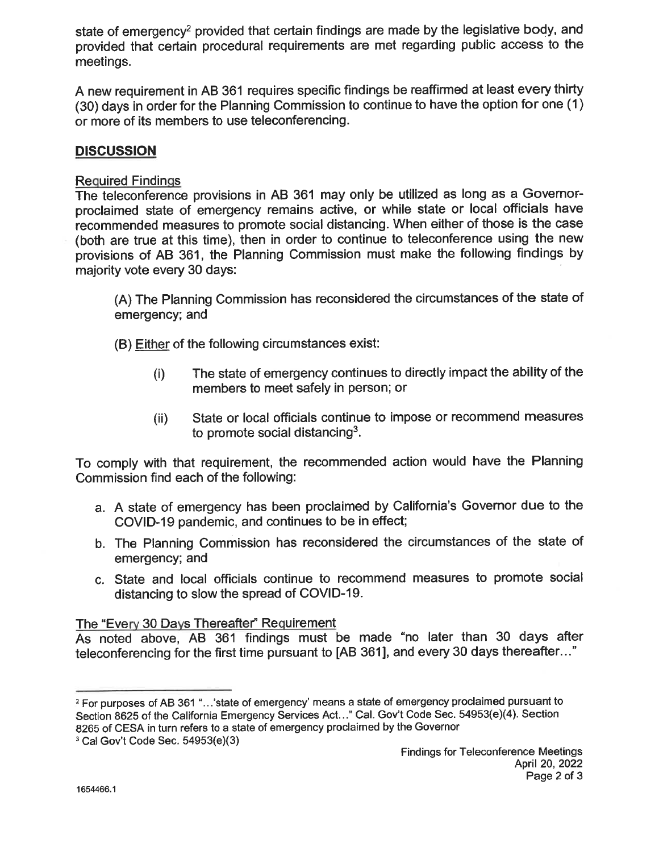state of emergency<sup>2</sup> provided that certain findings are made by the legislative body, and provided that certain procedural requirements are met regarding public access to the meetings.

A new requirement in AB 361 requires specific findings be reaffirmed at least every thirty (30) days in order for the Planning Commission to continue to have the option for one (1) or more of its members to use teleconferencing.

#### **DISCUSSION**

**Required Findings** 

The teleconference provisions in AB 361 may only be utilized as long as a Governorproclaimed state of emergency remains active, or while state or local officials have recommended measures to promote social distancing. When either of those is the case (both are true at this time), then in order to continue to teleconference using the new provisions of AB 361, the Planning Commission must make the following findings by majority vote every 30 days:

(A) The Planning Commission has reconsidered the circumstances of the state of emergency; and

(B) Either of the following circumstances exist:

- The state of emergency continues to directly impact the ability of the  $(i)$ members to meet safely in person; or
- State or local officials continue to impose or recommend measures  $(ii)$ to promote social distancing<sup>3</sup>.

To comply with that requirement, the recommended action would have the Planning Commission find each of the following:

- a. A state of emergency has been proclaimed by California's Governor due to the COVID-19 pandemic, and continues to be in effect;
- b. The Planning Commission has reconsidered the circumstances of the state of emergency; and
- c. State and local officials continue to recommend measures to promote social distancing to slow the spread of COVID-19.

#### The "Every 30 Days Thereafter" Requirement

As noted above, AB 361 findings must be made "no later than 30 days after teleconferencing for the first time pursuant to [AB 361], and every 30 days thereafter..."

<sup>&</sup>lt;sup>2</sup> For purposes of AB 361 "...'state of emergency' means a state of emergency proclaimed pursuant to Section 8625 of the California Emergency Services Act..." Cal. Gov't Code Sec. 54953(e)(4). Section 8265 of CESA in turn refers to a state of emergency proclaimed by the Governor

 $3$  Cal Gov't Code Sec.  $54953(e)(3)$